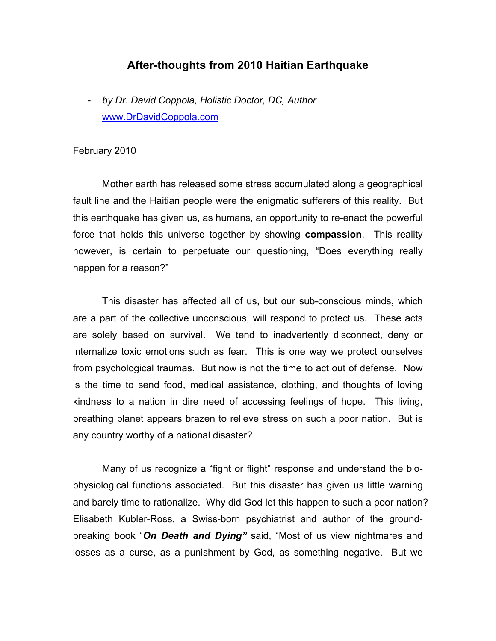## **After-thoughts from 2010 Haitian Earthquake**

- *by Dr. David Coppola, Holistic Doctor, DC, Author* www.DrDavidCoppola.com

## February 2010

Mother earth has released some stress accumulated along a geographical fault line and the Haitian people were the enigmatic sufferers of this reality. But this earthquake has given us, as humans, an opportunity to re-enact the powerful force that holds this universe together by showing **compassion**. This reality however, is certain to perpetuate our questioning, "Does everything really happen for a reason?"

This disaster has affected all of us, but our sub-conscious minds, which are a part of the collective unconscious, will respond to protect us. These acts are solely based on survival. We tend to inadvertently disconnect, deny or internalize toxic emotions such as fear. This is one way we protect ourselves from psychological traumas. But now is not the time to act out of defense. Now is the time to send food, medical assistance, clothing, and thoughts of loving kindness to a nation in dire need of accessing feelings of hope. This living, breathing planet appears brazen to relieve stress on such a poor nation. But is any country worthy of a national disaster?

Many of us recognize a "fight or flight" response and understand the biophysiological functions associated. But this disaster has given us little warning and barely time to rationalize. Why did God let this happen to such a poor nation? Elisabeth Kubler-Ross, a Swiss-born psychiatrist and author of the groundbreaking book "*On Death and Dying"* said, "Most of us view nightmares and losses as a curse, as a punishment by God, as something negative. But we